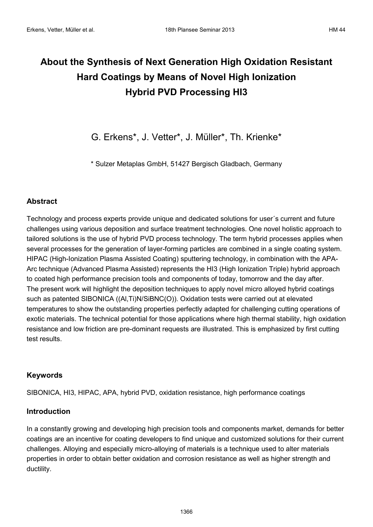# **About the Synthesis of Next Generation High Oxidation Resistant Hard Coatings by Means of Novel High Ionization Hybrid PVD Processing HI3**

G. Erkens\*, J. Vetter\*, J. Müller\*, Th. Krienke\*

\* Sulzer Metaplas GmbH, 51427 Bergisch Gladbach, Germany

## **Abstract**

Technology and process experts provide unique and dedicated solutions for user´s current and future challenges using various deposition and surface treatment technologies. One novel holistic approach to tailored solutions is the use of hybrid PVD process technology. The term hybrid processes applies when several processes for the generation of layer-forming particles are combined in a single coating system. HIPAC (High-Ionization Plasma Assisted Coating) sputtering technology, in combination with the APA-Arc technique (Advanced Plasma Assisted) represents the HI3 (High Ionization Triple) hybrid approach to coated high performance precision tools and components of today, tomorrow and the day after. The present work will highlight the deposition techniques to apply novel micro alloyed hybrid coatings such as patented SIBONICA ((Al,Ti)N/SiBNC(O)). Oxidation tests were carried out at elevated temperatures to show the outstanding properties perfectly adapted for challenging cutting operations of exotic materials. The technical potential for those applications where high thermal stability, high oxidation resistance and low friction are pre-dominant requests are illustrated. This is emphasized by first cutting test results.

# **Keywords**

SIBONICA, HI3, HIPAC, APA, hybrid PVD, oxidation resistance, high performance coatings

## **Introduction**

In a constantly growing and developing high precision tools and components market, demands for better coatings are an incentive for coating developers to find unique and customized solutions for their current challenges. Alloying and especially micro-alloying of materials is a technique used to alter materials properties in order to obtain better oxidation and corrosion resistance as well as higher strength and ductility.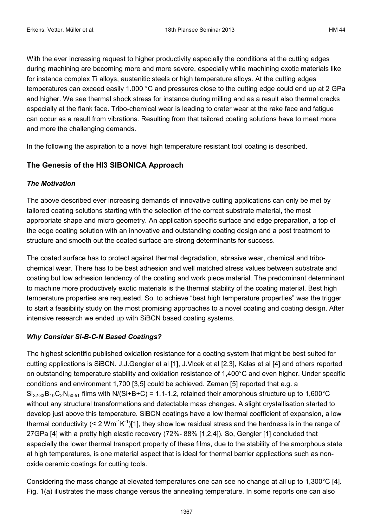With the ever increasing request to higher productivity especially the conditions at the cutting edges during machining are becoming more and more severe, especially while machining exotic materials like for instance complex Ti alloys, austenitic steels or high temperature alloys. At the cutting edges temperatures can exceed easily 1.000 °C and pressures close to the cutting edge could end up at 2 GPa and higher. We see thermal shock stress for instance during milling and as a result also thermal cracks especially at the flank face. Tribo-chemical wear is leading to crater wear at the rake face and fatigue can occur as a result from vibrations. Resulting from that tailored coating solutions have to meet more and more the challenging demands.

In the following the aspiration to a novel high temperature resistant tool coating is described.

## **The Genesis of the HI3 SIBONICA Approach**

#### *The Motivation*

The above described ever increasing demands of innovative cutting applications can only be met by tailored coating solutions starting with the selection of the correct substrate material, the most appropriate shape and micro geometry. An application specific surface and edge preparation, a top of the edge coating solution with an innovative and outstanding coating design and a post treatment to structure and smooth out the coated surface are strong determinants for success.

The coated surface has to protect against thermal degradation, abrasive wear, chemical and tribochemical wear. There has to be best adhesion and well matched stress values between substrate and coating but low adhesion tendency of the coating and work piece material. The predominant determinant to machine more productively exotic materials is the thermal stability of the coating material. Best high temperature properties are requested. So, to achieve "best high temperature properties" was the trigger to start a feasibility study on the most promising approaches to a novel coating and coating design. After intensive research we ended up with SiBCN based coating systems.

## *Why Consider Si-B-C-N Based Coatings?*

The highest scientific published oxidation resistance for a coating system that might be best suited for cutting applications is SiBCN. J.J.Gengler et al [1], J.Vlcek et al [2,3], Kalas et al [4] and others reported on outstanding temperature stability and oxidation resistance of 1,400°C and even higher. Under specific conditions and environment 1,700 [3,5] could be achieved. Zeman [5] reported that e.g. a  $Si<sub>32-33</sub>B<sub>10</sub>C<sub>2</sub>N<sub>50-51</sub>$  films with N/(Si+B+C) = 1.1-1.2, retained their amorphous structure up to 1,600°C without any structural transformations and detectable mass changes. A slight crystallisation started to develop just above this temperature. SiBCN coatings have a low thermal coefficient of expansion, a low thermal conductivity (< 2 Wm<sup>-1</sup>K<sup>-1</sup>)[1], they show low residual stress and the hardness is in the range of 27GPa [4] with a pretty high elastic recovery (72%- 88% [1,2,4]). So, Gengler [1] concluded that especially the lower thermal transport property of these films, due to the stability of the amorphous state at high temperatures, is one material aspect that is ideal for thermal barrier applications such as nonoxide ceramic coatings for cutting tools.

Considering the mass change at elevated temperatures one can see no change at all up to 1,300°C [4]. Fig. 1(a) illustrates the mass change versus the annealing temperature. In some reports one can also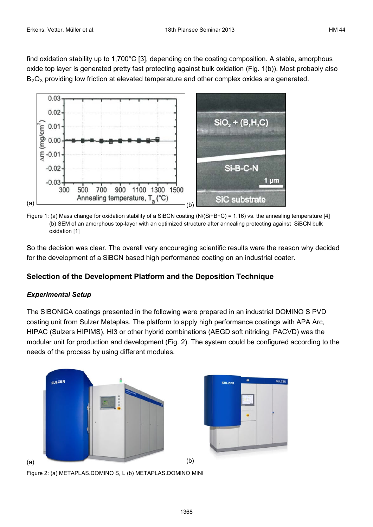find oxidation stability up to 1,700°C [3], depending on the coating composition. A stable, amorphous oxide top layer is generated pretty fast protecting against bulk oxidation (Fig. 1(b)). Most probably also B<sub>2</sub>O<sub>3</sub> providing low friction at elevated temperature and other complex oxides are generated.



Figure 1: (a) Mass change for oxidation stability of a SiBCN coating (N/(Si+B+C) = 1.16) vs. the annealing temperature [4] (b) SEM of an amorphous top-layer with an optimized structure after annealing protecting against SiBCN bulk oxidation [1]

So the decision was clear. The overall very encouraging scientific results were the reason why decided for the development of a SiBCN based high performance coating on an industrial coater.

# **Selection of the Development Platform and the Deposition Technique**

# *Experimental Setup*

The SIBONiCA coatings presented in the following were prepared in an industrial DOMINO S PVD coating unit from Sulzer Metaplas. The platform to apply high performance coatings with APA Arc, HIPAC (Sulzers HIPIMS), HI3 or other hybrid combinations (AEGD soft nitriding, PACVD) was the modular unit for production and development (Fig. 2). The system could be configured according to the needs of the process by using different modules.



Figure 2: (a) METAPLAS.DOMINO S, L (b) METAPLAS.DOMINO MINI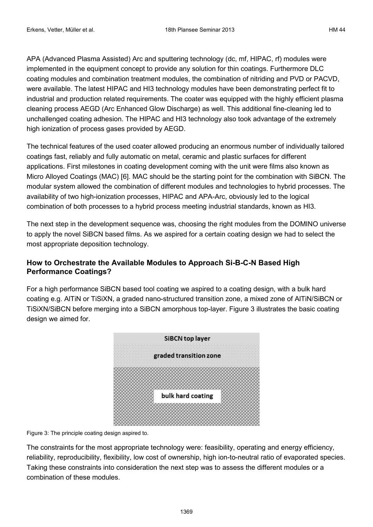APA (Advanced Plasma Assisted) Arc and sputtering technology (dc, mf, HIPAC, rf) modules were implemented in the equipment concept to provide any solution for thin coatings. Furthermore DLC coating modules and combination treatment modules, the combination of nitriding and PVD or PACVD, were available. The latest HIPAC and HI3 technology modules have been demonstrating perfect fit to industrial and production related requirements. The coater was equipped with the highly efficient plasma cleaning process AEGD (Arc Enhanced Glow Discharge) as well. This additional fine-cleaning led to unchallenged coating adhesion. The HIPAC and HI3 technology also took advantage of the extremely high ionization of process gases provided by AEGD.

The technical features of the used coater allowed producing an enormous number of individually tailored coatings fast, reliably and fully automatic on metal, ceramic and plastic surfaces for different applications. First milestones in coating development coming with the unit were films also known as Micro Alloyed Coatings (MAC) [6]. MAC should be the starting point for the combination with SiBCN. The modular system allowed the combination of different modules and technologies to hybrid processes. The availability of two high-ionization processes, HIPAC and APA-Arc, obviously led to the logical combination of both processes to a hybrid process meeting industrial standards, known as HI3.

The next step in the development sequence was, choosing the right modules from the DOMINO universe to apply the novel SiBCN based films. As we aspired for a certain coating design we had to select the most appropriate deposition technology.

# **How to Orchestrate the Available Modules to Approach Si-B-C-N Based High Performance Coatings?**

For a high performance SiBCN based tool coating we aspired to a coating design, with a bulk hard coating e.g. AlTiN or TiSiXN, a graded nano-structured transition zone, a mixed zone of AlTiN/SiBCN or TiSiXN/SiBCN before merging into a SiBCN amorphous top-layer. Figure 3 illustrates the basic coating design we aimed for.



Figure 3: The principle coating design aspired to.

The constraints for the most appropriate technology were: feasibility, operating and energy efficiency, reliability, reproducibility, flexibility, low cost of ownership, high ion-to-neutral ratio of evaporated species. Taking these constraints into consideration the next step was to assess the different modules or a combination of these modules.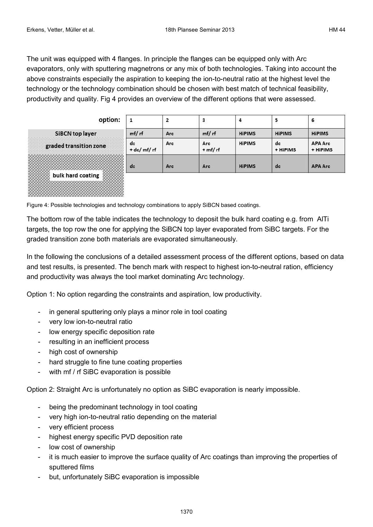The unit was equipped with 4 flanges. In principle the flanges can be equipped only with Arc evaporators, only with sputtering magnetrons or any mix of both technologies. Taking into account the above constraints especially the aspiration to keeping the ion-to-neutral ratio at the highest level the technology or the technology combination should be chosen with best match of technical feasibility, productivity and quality. Fig 4 provides an overview of the different options that were assessed.

| option:                | $\mathbf{1}$       |     | з                    | 4             | 5<br>$\sim$    | 6                          |
|------------------------|--------------------|-----|----------------------|---------------|----------------|----------------------------|
| SiBCN top layer        | mf/rf              | Arc | mf/rf                | <b>HiPIMS</b> | <b>HiPIMS</b>  | <b>HiPIMS</b>              |
| graded transition zone | dc<br>$+$ dc/mf/rf | Arc | Arc<br>$+ m f / r f$ | <b>HiPIMS</b> | dc<br>+ HiPIMS | <b>APA Arc</b><br>+ HiPIMS |
|                        | dc                 | Arc | Arc                  | <b>HiPIMS</b> | dc             | <b>APA Arc</b>             |
| bulk hard coating      |                    |     |                      |               |                |                            |

Figure 4: Possible technologies and technology combinations to apply SiBCN based coatings.

The bottom row of the table indicates the technology to deposit the bulk hard coating e.g. from AlTi targets, the top row the one for applying the SiBCN top layer evaporated from SiBC targets. For the graded transition zone both materials are evaporated simultaneously.

In the following the conclusions of a detailed assessment process of the different options, based on data and test results, is presented. The bench mark with respect to highest ion-to-neutral ration, efficiency and productivity was always the tool market dominating Arc technology.

Option 1: No option regarding the constraints and aspiration, low productivity.

- in general sputtering only plays a minor role in tool coating
- very low ion-to-neutral ratio
- low energy specific deposition rate
- resulting in an inefficient process
- high cost of ownership
- hard struggle to fine tune coating properties
- with mf / rf SiBC evaporation is possible

Option 2: Straight Arc is unfortunately no option as SiBC evaporation is nearly impossible.

- being the predominant technology in tool coating
- very high ion-to-neutral ratio depending on the material
- very efficient process
- highest energy specific PVD deposition rate
- low cost of ownership
- it is much easier to improve the surface quality of Arc coatings than improving the properties of sputtered films
- but, unfortunately SiBC evaporation is impossible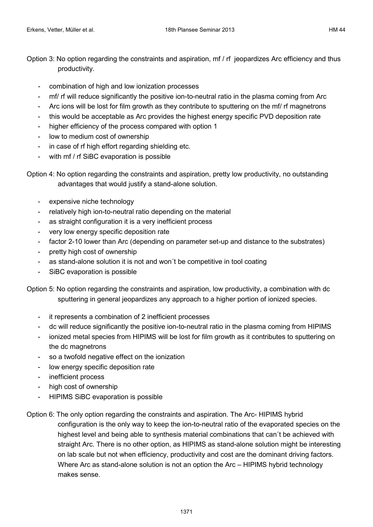Option 3: No option regarding the constraints and aspiration, mf / rf jeopardizes Arc efficiency and thus productivity.

- combination of high and low ionization processes
- mf/ rf will reduce significantly the positive ion-to-neutral ratio in the plasma coming from Arc
- Arc ions will be lost for film growth as they contribute to sputtering on the mf/ rf magnetrons
- this would be acceptable as Arc provides the highest energy specific PVD deposition rate
- higher efficiency of the process compared with option 1
- low to medium cost of ownership
- in case of rf high effort regarding shielding etc.
- with mf / rf SiBC evaporation is possible

Option 4: No option regarding the constraints and aspiration, pretty low productivity, no outstanding advantages that would justify a stand-alone solution.

- expensive niche technology
- relatively high ion-to-neutral ratio depending on the material
- as straight configuration it is a very inefficient process
- very low energy specific deposition rate
- factor 2-10 lower than Arc (depending on parameter set-up and distance to the substrates)
- pretty high cost of ownership
- as stand-alone solution it is not and won't be competitive in tool coating
- SiBC evaporation is possible

Option 5: No option regarding the constraints and aspiration, low productivity, a combination with dc sputtering in general jeopardizes any approach to a higher portion of ionized species.

- it represents a combination of 2 inefficient processes
- dc will reduce significantly the positive ion-to-neutral ratio in the plasma coming from HIPIMS
- ionized metal species from HIPIMS will be lost for film growth as it contributes to sputtering on the dc magnetrons
- so a twofold negative effect on the ionization
- low energy specific deposition rate
- inefficient process
- high cost of ownership
- HIPIMS SiBC evaporation is possible

Option 6: The only option regarding the constraints and aspiration. The Arc- HIPIMS hybrid configuration is the only way to keep the ion-to-neutral ratio of the evaporated species on the highest level and being able to synthesis material combinations that can´t be achieved with straight Arc. There is no other option, as HIPIMS as stand-alone solution might be interesting on lab scale but not when efficiency, productivity and cost are the dominant driving factors. Where Arc as stand-alone solution is not an option the Arc – HIPIMS hybrid technology makes sense.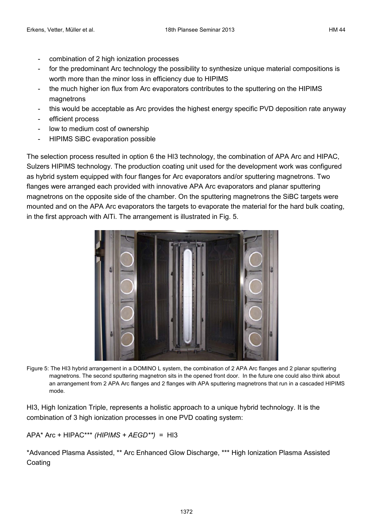- combination of 2 high ionization processes
- for the predominant Arc technology the possibility to synthesize unique material compositions is worth more than the minor loss in efficiency due to HIPIMS
- the much higher ion flux from Arc evaporators contributes to the sputtering on the HIPIMS magnetrons
- this would be acceptable as Arc provides the highest energy specific PVD deposition rate anyway
- efficient process
- low to medium cost of ownership
- HIPIMS SiBC evaporation possible

The selection process resulted in option 6 the HI3 technology, the combination of APA Arc and HIPAC, Sulzers HIPIMS technology. The production coating unit used for the development work was configured as hybrid system equipped with four flanges for Arc evaporators and/or sputtering magnetrons. Two flanges were arranged each provided with innovative APA Arc evaporators and planar sputtering magnetrons on the opposite side of the chamber. On the sputtering magnetrons the SiBC targets were mounted and on the APA Arc evaporators the targets to evaporate the material for the hard bulk coating, in the first approach with AlTi. The arrangement is illustrated in Fig. 5.



Figure 5: The HI3 hybrid arrangement in a DOMINO L system, the combination of 2 APA Arc flanges and 2 planar sputtering magnetrons. The second sputtering magnetron sits in the opened front door. In the future one could also think about an arrangement from 2 APA Arc flanges and 2 flanges with APA sputtering magnetrons that run in a cascaded HIPIMS mode.

HI3, High Ionization Triple, represents a holistic approach to a unique hybrid technology. It is the combination of 3 high ionization processes in one PVD coating system:

APA\* Arc + HIPAC\*\*\* *(HIPIMS + AEGD\*\*)* = HI3

\*Advanced Plasma Assisted, \*\* Arc Enhanced Glow Discharge, \*\*\* High Ionization Plasma Assisted **Coating**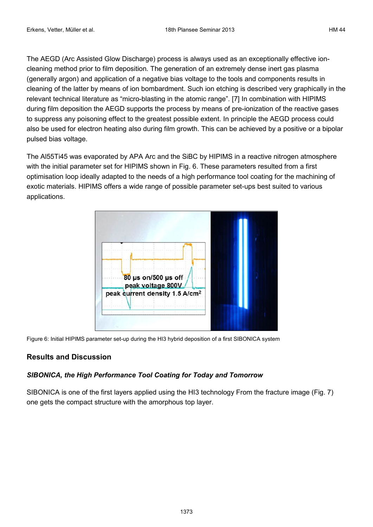The AEGD (Arc Assisted Glow Discharge) process is always used as an exceptionally effective ioncleaning method prior to film deposition. The generation of an extremely dense inert gas plasma (generally argon) and application of a negative bias voltage to the tools and components results in cleaning of the latter by means of ion bombardment. Such ion etching is described very graphically in the relevant technical literature as "micro-blasting in the atomic range". [7] In combination with HIPIMS during film deposition the AEGD supports the process by means of pre-ionization of the reactive gases to suppress any poisoning effect to the greatest possible extent. In principle the AEGD process could also be used for electron heating also during film growth. This can be achieved by a positive or a bipolar pulsed bias voltage.

The Al55Ti45 was evaporated by APA Arc and the SiBC by HIPIMS in a reactive nitrogen atmosphere with the initial parameter set for HIPIMS shown in Fig. 6. These parameters resulted from a first optimisation loop ideally adapted to the needs of a high performance tool coating for the machining of exotic materials. HIPIMS offers a wide range of possible parameter set-ups best suited to various applications.



Figure 6: Initial HIPIMS parameter set-up during the HI3 hybrid deposition of a first SIBONICA system

# **Results and Discussion**

# *SIBONICA, the High Performance Tool Coating for Today and Tomorrow*

SIBONICA is one of the first layers applied using the HI3 technology From the fracture image (Fig. 7) one gets the compact structure with the amorphous top layer.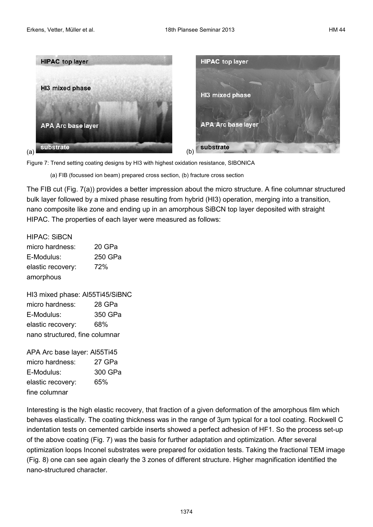



(a) FIB (focussed ion beam) prepared cross section, (b) fracture cross section

The FIB cut (Fig. 7(a)) provides a better impression about the micro structure. A fine columnar structured bulk layer followed by a mixed phase resulting from hybrid (HI3) operation, merging into a transition, nano composite like zone and ending up in an amorphous SiBCN top layer deposited with straight HIPAC. The properties of each layer were measured as follows:

HIPAC: SiBCN

| micro hardness:   | 20 GPa  |  |  |
|-------------------|---------|--|--|
| E-Modulus:        | 250 GPa |  |  |
| elastic recovery: | 72%     |  |  |
| amorphous         |         |  |  |

HI3 mixed phase: Al55Ti45/SiBNC micro hardness: 28 GPa E-Modulus: 350 GPa elastic recovery: 68% nano structured, fine columnar

APA Arc base layer: Al55Ti45 micro hardness: 27 GPa E-Modulus: 300 GPa elastic recovery: 65% fine columnar

Interesting is the high elastic recovery, that fraction of a given deformation of the amorphous film which behaves elastically. The coating thickness was in the range of 3µm typical for a tool coating. Rockwell C indentation tests on cemented carbide inserts showed a perfect adhesion of HF1. So the process set-up of the above coating (Fig. 7) was the basis for further adaptation and optimization. After several optimization loops Inconel substrates were prepared for oxidation tests. Taking the fractional TEM image (Fig. 8) one can see again clearly the 3 zones of different structure. Higher magnification identified the nano-structured character.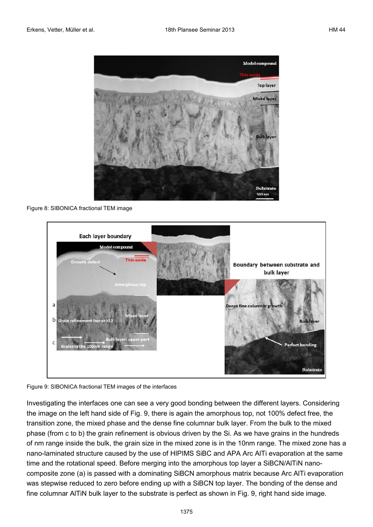

Figure 8: SIBONICA fractional TEM image



Figure 9: SIBONICA fractional TEM images of the interfaces

Investigating the interfaces one can see a very good bonding between the different layers. Considering the image on the left hand side of Fig. 9, there is again the amorphous top, not 100% defect free, the transition zone, the mixed phase and the dense fine columnar bulk layer. From the bulk to the mixed phase (from c to b) the grain refinement is obvious driven by the Si. As we have grains in the hundreds of nm range inside the bulk, the grain size in the mixed zone is in the 10nm range. The mixed zone has a nano-laminated structure caused by the use of HIPIMS SiBC and APA Arc AlTi evaporation at the same time and the rotational speed. Before merging into the amorphous top layer a SiBCN/AITIN nanocomposite zone (a) is passed with a dominating SiBCN amorphous matrix because Arc AlTi evaporation was stepwise reduced to zero before ending up with a SiBCN top layer. The bonding of the dense and fine columnar AlTiN bulk layer to the substrate is perfect as shown in Fig. 9, right hand side image.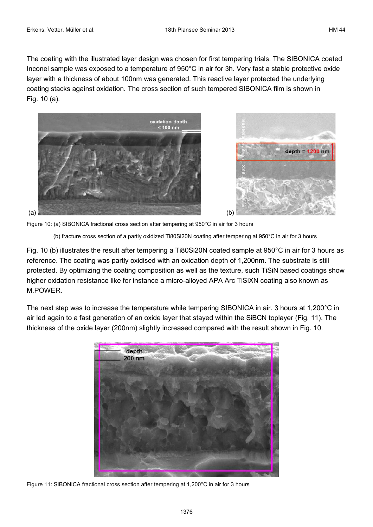The coating with the illustrated layer design was chosen for first tempering trials. The SIBONICA coated Inconel sample was exposed to a temperature of 950°C in air for 3h. Very fast a stable protective oxide layer with a thickness of about 100nm was generated. This reactive layer protected the underlying coating stacks against oxidation. The cross section of such tempered SIBONICA film is shown in Fig. 10 (a).





Figure 10: (a) SIBONICA fractional cross section after tempering at 950°C in air for 3 hours

(b) fracture cross section of a partly oxidized Ti80Si20N coating after tempering at 950°C in air for 3 hours

Fig. 10 (b) illustrates the result after tempering a Ti80Si20N coated sample at 950°C in air for 3 hours as reference. The coating was partly oxidised with an oxidation depth of 1,200nm. The substrate is still protected. By optimizing the coating composition as well as the texture, such TiSiN based coatings show higher oxidation resistance like for instance a micro-alloyed APA Arc TiSiXN coating also known as M.POWER.

The next step was to increase the temperature while tempering SIBONICA in air. 3 hours at 1,200°C in air led again to a fast generation of an oxide layer that stayed within the SiBCN toplayer (Fig. 11). The thickness of the oxide layer (200nm) slightly increased compared with the result shown in Fig. 10.



Figure 11: SIBONICA fractional cross section after tempering at 1,200°C in air for 3 hours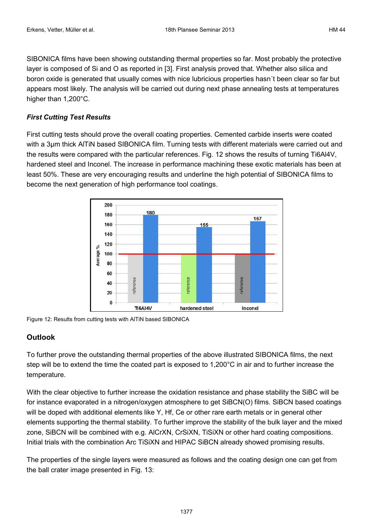SIBONICA films have been showing outstanding thermal properties so far. Most probably the protective layer is composed of Si and O as reported in [3]. First analysis proved that. Whether also silica and boron oxide is generated that usually comes with nice lubricious properties hasn´t been clear so far but appears most likely. The analysis will be carried out during next phase annealing tests at temperatures higher than 1,200°C.

#### *First Cutting Test Results*

First cutting tests should prove the overall coating properties. Cemented carbide inserts were coated with a 3 $\mu$ m thick AITIN based SIBONICA film. Turning tests with different materials were carried out and the results were compared with the particular references. Fig. 12 shows the results of turning Ti6Al4V, hardened steel and Inconel. The increase in performance machining these exotic materials has been at least 50%. These are very encouraging results and underline the high potential of SIBONICA films to become the next generation of high performance tool coatings.



Figure 12: Results from cutting tests with AlTiN based SIBONICA

## **Outlook**

To further prove the outstanding thermal properties of the above illustrated SIBONICA films, the next step will be to extend the time the coated part is exposed to 1,200°C in air and to further increase the temperature.

With the clear objective to further increase the oxidation resistance and phase stability the SiBC will be for instance evaporated in a nitrogen/oxygen atmosphere to get SiBCN(O) films. SiBCN based coatings will be doped with additional elements like Y, Hf, Ce or other rare earth metals or in general other elements supporting the thermal stability. To further improve the stability of the bulk layer and the mixed zone, SiBCN will be combined with e.g. AlCrXN, CrSiXN, TiSiXN or other hard coating compositions. Initial trials with the combination Arc TiSiXN and HIPAC SiBCN already showed promising results.

The properties of the single layers were measured as follows and the coating design one can get from the ball crater image presented in Fig. 13: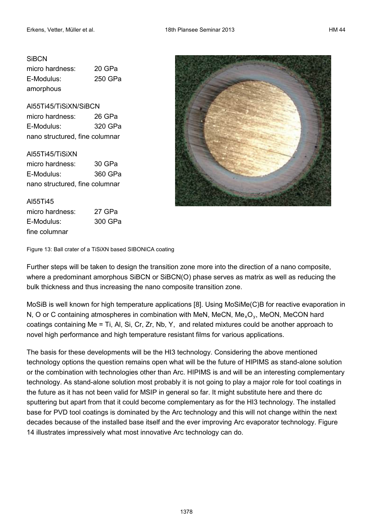#### **SiBCN**

micro hardness: 20 GPa E-Modulus: 250 GPa amorphous

#### Al55Ti45/TiSiXN/SiBCN

micro hardness: 26 GPa E-Modulus: 320 GPa nano structured, fine columnar

#### Al55Ti45/TiSiXN

micro hardness: 30 GPa E-Modulus: 360 GPa nano structured, fine columnar

#### Al55Ti45

| micro hardness: | 27 GPa  |  |  |
|-----------------|---------|--|--|
| E-Modulus:      | 300 GPa |  |  |
| fine columnar   |         |  |  |



Figure 13: Ball crater of a TiSiXN based SIBONICA coating

Further steps will be taken to design the transition zone more into the direction of a nano composite, where a predominant amorphous SiBCN or SiBCN(O) phase serves as matrix as well as reducing the bulk thickness and thus increasing the nano composite transition zone.

MoSiB is well known for high temperature applications [8]. Using MoSiMe(C)B for reactive evaporation in N, O or C containing atmospheres in combination with MeN, MeCN, Me<sub>x</sub>O<sub>y</sub>, MeON, MeCON hard coatings containing Me = Ti, Al, Si, Cr, Zr, Nb, Y, and related mixtures could be another approach to novel high performance and high temperature resistant films for various applications.

The basis for these developments will be the HI3 technology. Considering the above mentioned technology options the question remains open what will be the future of HIPIMS as stand-alone solution or the combination with technologies other than Arc. HIPIMS is and will be an interesting complementary technology. As stand-alone solution most probably it is not going to play a major role for tool coatings in the future as it has not been valid for MSIP in general so far. It might substitute here and there dc sputtering but apart from that it could become complementary as for the HI3 technology. The installed base for PVD tool coatings is dominated by the Arc technology and this will not change within the next decades because of the installed base itself and the ever improving Arc evaporator technology. Figure 14 illustrates impressively what most innovative Arc technology can do.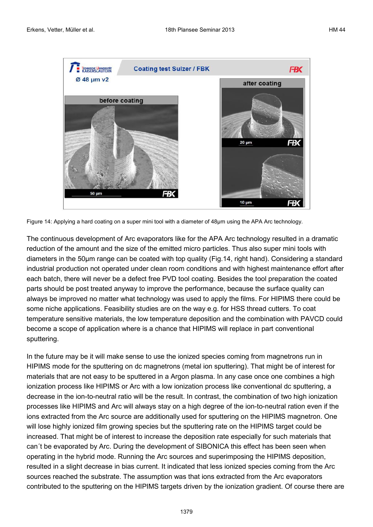

Figure 14: Applying a hard coating on a super mini tool with a diameter of 48µm using the APA Arc technology.

The continuous development of Arc evaporators like for the APA Arc technology resulted in a dramatic reduction of the amount and the size of the emitted micro particles. Thus also super mini tools with diameters in the 50µm range can be coated with top quality (Fig.14, right hand). Considering a standard industrial production not operated under clean room conditions and with highest maintenance effort after each batch, there will never be a defect free PVD tool coating. Besides the tool preparation the coated parts should be post treated anyway to improve the performance, because the surface quality can always be improved no matter what technology was used to apply the films. For HIPIMS there could be some niche applications. Feasibility studies are on the way e.g. for HSS thread cutters. To coat temperature sensitive materials, the low temperature deposition and the combination with PAVCD could become a scope of application where is a chance that HIPIMS will replace in part conventional sputtering.

In the future may be it will make sense to use the ionized species coming from magnetrons run in HIPIMS mode for the sputtering on dc magnetrons (metal ion sputtering). That might be of interest for materials that are not easy to be sputtered in a Argon plasma. In any case once one combines a high ionization process like HIPIMS or Arc with a low ionization process like conventional dc sputtering, a decrease in the ion-to-neutral ratio will be the result. In contrast, the combination of two high ionization processes like HIPIMS and Arc will always stay on a high degree of the ion-to-neutral ration even if the ions extracted from the Arc source are additionally used for sputtering on the HIPIMS magnetron. One will lose highly ionized film growing species but the sputtering rate on the HIPIMS target could be increased. That might be of interest to increase the deposition rate especially for such materials that can´t be evaporated by Arc. During the development of SIBONICA this effect has been seen when operating in the hybrid mode. Running the Arc sources and superimposing the HIPIMS deposition, resulted in a slight decrease in bias current. It indicated that less ionized species coming from the Arc sources reached the substrate. The assumption was that ions extracted from the Arc evaporators contributed to the sputtering on the HIPIMS targets driven by the ionization gradient. Of course there are